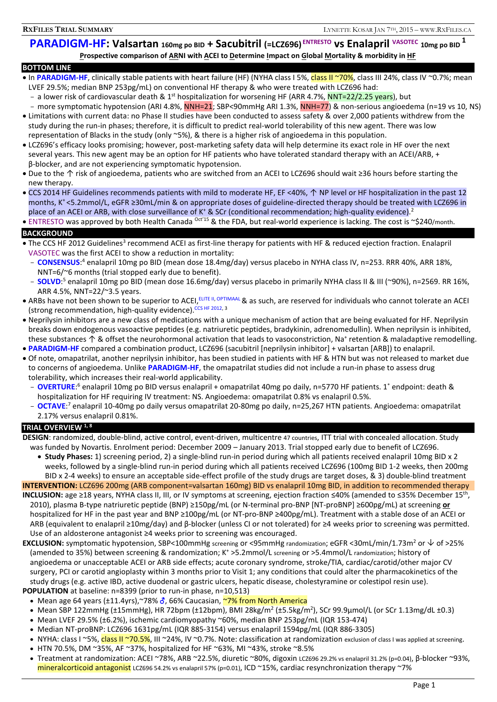# **PARADIGM-HF: Valsartan 160mg po BID + Sacubitril (=LCZ696) ENTRESTO vs Enalapril VASOTEC 10mg po BID <sup>1</sup> Prospective comparison of ARNI with ACEI to Determine Impact on Global Mortality & morbidity in HF**

### **BOTTOM LINE**

- In PARADIGM-HF, clinically stable patients with heart failure (HF) (NYHA class I 5%, class II ~70%, class III 24%, class IV ~0.7%; mean LVEF 29.5%; median BNP 253pg/mL) on conventional HF therapy & who were treated with LCZ696 had:
	- a lower risk of cardiovascular death & 1<sup>st</sup> hospitalization for worsening HF (ARR 4.7%, NNT=22/2.25 years), but
	- more symptomatic hypotension (ARI 4.8%, NNH=21; SBP<90mmHg ARI 1.3%, NNH=77) & non-serious angioedema (n=19 vs 10, NS)
- Limitations with current data: no Phase II studies have been conducted to assess safety & over 2,000 patients withdrew from the study during the run-in phases; therefore, it is difficult to predict real-world tolerability of this new agent. There was low representation of Blacks in the study (only ~5%), & there is a higher risk of angioedema in this population.
- LCZ696's efficacy looks promising; however, post-marketing safety data will help determine its exact role in HF over the next several years. This new agent may be an option for HF patients who have tolerated standard therapy with an ACEI/ARB, + β-blocker, and are not experiencing symptomatic hypotension.
- Due to the ↑ risk of angioedema, patients who are switched from an ACEI to LCZ696 should wait ≥36 hours before starting the new therapy.
- CCS 2014 HF Guidelines recommends patients with mild to moderate HF, EF <40%, ↑ NP level or HF hospitalization in the past 12 months, K<sup>+</sup><5.2mmol/L, eGFR ≥30mL/min & on appropriate doses of guideline-directed therapy should be treated with LCZ696 in place of an ACEI or ARB, with close surveillance of K<sup>+</sup> & SCr (conditional recommendation; high-quality evidence).<sup>2</sup>
- ENTRESTO was approved by both Health Canada <sup>Oct'15</sup> & the FDA, but real-world experience is lacking. The cost is ~\$240/month.

### **BACKGROUND**

- The CCS HF 2012 Guidelines<sup>3</sup> recommend ACEI as first-line therapy for patients with HF & reduced ejection fraction. Enalapril VASOTEC was the first ACEI to show a reduction in mortality:
	- **CONSENSUS**:<sup>4</sup> enalapril 10mg po BID (mean dose 18.4mg/day) versus placebo in NYHA class IV, n=253. RRR 40%, ARR 18%, NNT=6/~6 months (trial stopped early due to benefit).
	- **SOLVD**:<sup>5</sup> enalapril 10mg po BID (mean dose 16.6mg/day) versus placebo in primarily NYHA class II & III (~90%), n=2569. RR 16%, ARR 4.5%, NNT=22/~3.5 years.
- ARBs have not been shown to be superior to ACEI, ELITE II, OPTIMAAL & as such, are reserved for individuals who cannot tolerate an ACEI (strong recommendation, high-quality evidence). CCS HF 2012, 3
- Neprilysin inhibitors are a new class of medications with a unique mechanism of action that are being evaluated for HF. Neprilysin breaks down endogenous vasoactive peptides (e.g. natriuretic peptides, bradykinin, adrenomedullin). When neprilysin is inhibited, these substances  $\uparrow$  & offset the neurohormonal activation that leads to vasoconstriction, Na<sup>+</sup> retention & maladaptive remodelling.
- **PARADIGM-HF** compared a combination product, LCZ696 (sacubitril [neprilysin inhibitor] + valsartan [ARB]) to enalapril.
- Of note, omapatrilat, another neprilysin inhibitor, has been studied in patients with HF & HTN but was not released to market due to concerns of angioedema. Unlike **PARADIGM-HF**, the omapatrilat studies did not include a run-in phase to assess drug tolerability, which increases their real-world applicability.
	- OVERTURE:<sup>6</sup> enalapril 10mg po BID versus enalapril + omapatrilat 40mg po daily, n=5770 HF patients. 1° endpoint: death & hospitalization for HF requiring IV treatment: NS. Angioedema: omapatrilat 0.8% vs enalapril 0.5%.
	- OCTAVE<sup>:7</sup> enalapril 10-40mg po daily versus omapatrilat 20-80mg po daily, n=25,267 HTN patients. Angioedema: omapatrilat 2.17% versus enalapril 0.81%.

## **TRIAL OVERVIEW 1, 8**

**DESIGN**: randomized, double-blind, active control, event-driven, multicentre 47 countries, ITT trial with concealed allocation. Study was funded by Novartis. Enrolment period: December 2009 – January 2013. Trial stopped early due to benefit of LCZ696.

- **Study Phases:** 1) screening period, 2) a single-blind run-in period during which all patients received enalapril 10mg BID x 2 weeks, followed by a single-blind run-in period during which all patients received LCZ696 (100mg BID 1-2 weeks, then 200mg BID x 2-4 weeks) to ensure an acceptable side-effect profile of the study drugs are target doses, & 3) double-blind treatment
- **INTERVENTION:** LCZ696 200mg (ARB component=valsartan 160mg) BID vs enalapril 10mg BID, in addition to recommended therapy INCLUSION: age ≥18 years, NYHA class II, III, or IV symptoms at screening, ejection fraction ≤40% (amended to ≤35% December 15<sup>th</sup>, 2010), plasma B-type natriuretic peptide (BNP) ≥150pg/mL (or N-terminal pro-BNP [NT-proBNP] ≥600pg/mL) at screening **or** hospitalized for HF in the past year and BNP ≥100pg/mL (or NT-pro-BNP ≥400pg/mL). Treatment with a stable dose of an ACEI or ARB (equivalent to enalapril ≥10mg/day) and β-blocker (unless CI or not tolerated) for ≥4 weeks prior to screening was permitted. Use of an aldosterone antagonist ≥4 weeks prior to screening was encouraged.
- **EXCLUSION:** symptomatic hypotension, SBP<100mmHg screening or <95mmHg randomization; eGFR <30mL/min/1.73m<sup>2</sup> or  $\vee$  of >25% (amended to 35%) between screening & randomization; K<sup>+</sup> >5.2mmol/L screening or >5.4mmol/L randomization; history of angioedema or unacceptable ACEI or ARB side effects; acute coronary syndrome, stroke/TIA, cardiac/carotid/other major CV surgery, PCI or carotid angioplasty within 3 months prior to Visit 1; any conditions that could alter the pharmacokinetics of the study drugs (e.g. active IBD, active duodenal or gastric ulcers, hepatic disease, cholestyramine or colestipol resin use). **POPULATION** at baseline: n=8399 (prior to run-in phase, n=10,513)
	- Mean age 64 years ( $\pm$ 11.4yrs),~78%  $\delta$ , 66% Caucasian, ~7% from North America
	- Mean SBP 122mmHg (±15mmHg), HR 72bpm (±12bpm), BMI 28kg/m<sup>2</sup> (±5.5kg/m<sup>2</sup>), SCr 99.9µmol/L (or SCr 1.13mg/dL ±0.3)
	- Mean LVEF 29.5% (±6.2%), ischemic cardiomyopathy ~60%, median BNP 253pg/mL (IQR 153-474)
	- Median NT-proBNP: LCZ696 1631pg/mL (IQR 885-3154) versus enalapril 1594pg/mL (IQR 886-3305)
	- NYHA: class I ~5%, class II ~70.5%, III ~24%, IV ~0.7%. Note: classification at randomization exclusion of class I was applied at screening. • HTN 70.5%, DM ~35%, AF ~37%, hospitalized for HF ~63%, MI ~43%, stroke ~8.5%
	- Treatment at randomization: ACEI ~78%, ARB ~22.5%, diuretic ~80%, digoxin LCZ696 29.2% vs enalapril 31.2% (p=0.04), β-blocker ~93%, mineralcorticoid antagonist LCZ696 54.2% vs enalapril 57% (p=0.01), ICD ~15%, cardiac resynchronization therapy ~7%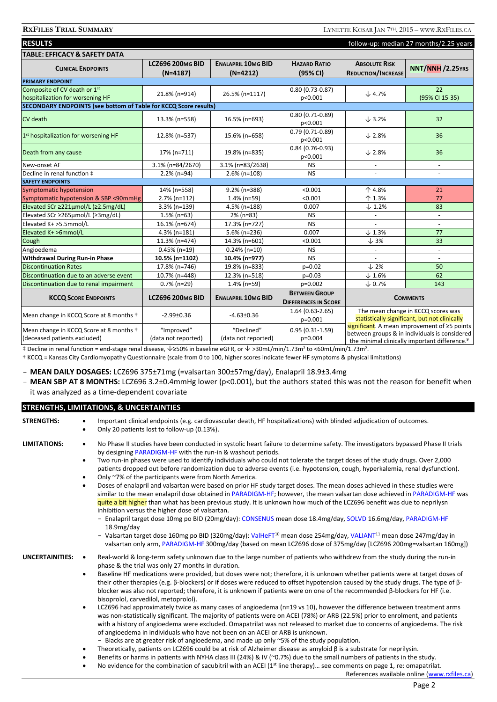| <b>RESULTS</b><br>follow-up: median 27 months/2.25 years                |                                       |                                         |                                                     |                                                                                                                                                                  |                      |  |  |
|-------------------------------------------------------------------------|---------------------------------------|-----------------------------------------|-----------------------------------------------------|------------------------------------------------------------------------------------------------------------------------------------------------------------------|----------------------|--|--|
| <b>TABLE: EFFICACY &amp; SAFETY DATA</b>                                |                                       |                                         |                                                     |                                                                                                                                                                  |                      |  |  |
| <b>CLINICAL ENDPOINTS</b>                                               | <b>LCZ696 200MG BID</b><br>$(N=4187)$ | <b>ENALAPRIL 10MG BID</b><br>$(N=4212)$ | <b>HAZARD RATIO</b><br>(95% CI)                     | <b>ABSOLUTE RISK</b><br><b>REDUCTION/INCREASE</b>                                                                                                                | NNT/NNH /2.25YRS     |  |  |
| <b>PRIMARY ENDPOINT</b>                                                 |                                       |                                         |                                                     |                                                                                                                                                                  |                      |  |  |
| Composite of CV death or 1st<br>hospitalization for worsening HF        | 21.8% (n=914)                         | 26.5% (n=1117)                          | $0.80(0.73 - 0.87)$<br>p<0.001                      | $\downarrow$ 4.7%                                                                                                                                                | 22<br>(95% CI 15-35) |  |  |
| SECONDARY ENDPOINTS (see bottom of Table for KCCQ Score results)        |                                       |                                         |                                                     |                                                                                                                                                                  |                      |  |  |
| <b>CV</b> death                                                         | 13.3% (n=558)                         | 16.5% (n=693)                           | $0.80(0.71-0.89)$<br>p<0.001                        | $\downarrow$ 3.2%                                                                                                                                                | 32                   |  |  |
| 1st hospitalization for worsening HF                                    | 12.8% (n=537)                         | 15.6% (n=658)                           | $0.79(0.71-0.89)$<br>p<0.001                        | $\downarrow$ 2.8%                                                                                                                                                | 36                   |  |  |
| Death from any cause                                                    | 17% (n=711)                           | 19.8% (n=835)                           | $0.84(0.76-0.93)$<br>p<0.001                        | $\downarrow$ 2.8%                                                                                                                                                | 36                   |  |  |
| New-onset AF                                                            | 3.1% (n=84/2670)                      | 3.1% (n=83/2638)                        | <b>NS</b>                                           |                                                                                                                                                                  |                      |  |  |
| Decline in renal function ‡                                             | 2.2% (n=94)                           | 2.6% (n=108)                            | <b>NS</b>                                           |                                                                                                                                                                  | $\overline{a}$       |  |  |
| <b>SAFETY ENDPOINTS</b>                                                 |                                       |                                         |                                                     |                                                                                                                                                                  |                      |  |  |
| <b>Symptomatic hypotension</b>                                          | 14% (n=558)                           | 9.2% (n=388)                            | < 0.001                                             | 个 4.8%                                                                                                                                                           | 21                   |  |  |
| Symptomatic hypotension & SBP <90mmHg                                   | 2.7% (n=112)                          | 1.4% (n=59)                             | < 0.001                                             | 个 1.3%                                                                                                                                                           | 77                   |  |  |
| Elevated SCr ≥221µmol/L (≥2.5mg/dL)                                     | 3.3% (n=139)                          | 4.5% (n=188)                            | 0.007                                               | $\downarrow$ 1.2%                                                                                                                                                | 83                   |  |  |
| Elevated SCr ≥265µmol/L (≥3mg/dL)                                       | $1.5\%$ (n=63)                        | 2% (n=83)                               | <b>NS</b>                                           |                                                                                                                                                                  | $\blacksquare$       |  |  |
| Elevated K+ >5.5mmol/L                                                  | 16.1% (n=674)                         | 17.3% (n=727)                           | <b>NS</b>                                           |                                                                                                                                                                  |                      |  |  |
| Elevated K+ >6mmol/L                                                    | 4.3% (n=181)                          | 5.6% (n=236)                            | 0.007                                               | $\downarrow$ 1.3%                                                                                                                                                | 77                   |  |  |
| Cough                                                                   | 11.3% (n=474)                         | 14.3% (n=601)                           | < 0.001                                             | $\downarrow$ 3%                                                                                                                                                  | 33                   |  |  |
| Angioedema                                                              | $0.45\%$ (n=19)                       | $0.24\%$ (n=10)                         | <b>NS</b>                                           |                                                                                                                                                                  | $\overline{a}$       |  |  |
| <b>Withdrawal During Run-in Phase</b>                                   | 10.5% (n=1102)                        | 10.4% (n=977)                           | <b>NS</b>                                           |                                                                                                                                                                  | $\overline{a}$       |  |  |
| <b>Discontinuation Rates</b>                                            | 17.8% (n=746)                         | 19.8% (n=833)                           | p=0.02                                              | $\downarrow$ 2%                                                                                                                                                  | 50                   |  |  |
| Discontinuation due to an adverse event                                 | 10.7% (n=448)                         | 12.3% (n=518)                           | $p=0.03$                                            | $\downarrow$ 1.6%                                                                                                                                                | 62                   |  |  |
| Discontinuation due to renal impairment                                 | $0.7\%$ (n=29)                        | 1.4% (n=59)                             | p=0.002                                             | $\times$ 0.7%                                                                                                                                                    | 143                  |  |  |
| <b>KCCQ SCORE ENDPOINTS</b>                                             | <b>LCZ696 200MG BID</b>               | <b>ENALAPRIL 10MG BID</b>               | <b>BETWEEN GROUP</b><br><b>DIFFERENCES IN SCORE</b> | <b>COMMENTS</b>                                                                                                                                                  |                      |  |  |
| Mean change in KCCQ Score at 8 months +                                 | $-2.99 \pm 0.36$                      | $-4.63 \pm 0.36$                        | $1.64(0.63-2.65)$<br>p=0.001                        | The mean change in KCCQ scores was<br>statistically significant, but not clinically                                                                              |                      |  |  |
| Mean change in KCCQ Score at 8 months +<br>(deceased patients excluded) | "Improved"<br>(data not reported)     | "Declined"<br>(data not reported)       | $0.95(0.31-1.59)$<br>p=0.004                        | significant. A mean improvement of $\geq$ 5 points<br>between groups & in individuals is considered<br>the minimal clinically important difference. <sup>9</sup> |                      |  |  |

‡ Decline in renal function = end-stage renal disease,  $\vee$  ≥50% in baseline eGFR, or  $\vee$  >30mL/min/1.73m<sup>2</sup> to <60mL/min/1.73m<sup>2</sup>. † KCCQ = Kansas City Cardiomyopathy Questionnaire (scale from 0 to 100, higher scores indicate fewer HF symptoms & physical limitations)

- **MEAN DAILY DOSAGES:** LCZ696 375±71mg (=valsartan 300±57mg/day), Enalapril 18.9±3.4mg

- **MEAN SBP AT 8 MONTHS:** LCZ696 3.2±0.4mmHg lower (p<0.001), but the authors stated this was not the reason for benefit when it was analyzed as a time-dependent covariate

| <b>STRENGTHS, LIMITATIONS, &amp; UNCERTAINTIES</b> |                                                                                                                                                                                                                                                                                                                                                                                                                                                                                                                                                                                                                                                                                                                                                                                                                                                                                                                                                                                                                                                                                                                                                                                                                                                                                                                                                                                                                                                                                                                                                                                                                                                                                                                         |  |  |  |  |
|----------------------------------------------------|-------------------------------------------------------------------------------------------------------------------------------------------------------------------------------------------------------------------------------------------------------------------------------------------------------------------------------------------------------------------------------------------------------------------------------------------------------------------------------------------------------------------------------------------------------------------------------------------------------------------------------------------------------------------------------------------------------------------------------------------------------------------------------------------------------------------------------------------------------------------------------------------------------------------------------------------------------------------------------------------------------------------------------------------------------------------------------------------------------------------------------------------------------------------------------------------------------------------------------------------------------------------------------------------------------------------------------------------------------------------------------------------------------------------------------------------------------------------------------------------------------------------------------------------------------------------------------------------------------------------------------------------------------------------------------------------------------------------------|--|--|--|--|
| <b>STRENGTHS:</b>                                  | Important clinical endpoints (e.g. cardiovascular death, HF hospitalizations) with blinded adjudication of outcomes.<br>$\bullet$<br>Only 20 patients lost to follow-up (0.13%).<br>$\bullet$                                                                                                                                                                                                                                                                                                                                                                                                                                                                                                                                                                                                                                                                                                                                                                                                                                                                                                                                                                                                                                                                                                                                                                                                                                                                                                                                                                                                                                                                                                                           |  |  |  |  |
| <b>LIMITATIONS:</b>                                | No Phase II studies have been conducted in systolic heart failure to determine safety. The investigators bypassed Phase II trials<br>$\bullet$<br>by designing PARADIGM-HF with the run-in & washout periods.<br>Two run-in phases were used to identify individuals who could not tolerate the target doses of the study drugs. Over 2,000<br>$\bullet$<br>patients dropped out before randomization due to adverse events (i.e. hypotension, cough, hyperkalemia, renal dysfunction).<br>Only ~7% of the participants were from North America.<br>$\bullet$<br>Doses of enalapril and valsartan were based on prior HF study target doses. The mean doses achieved in these studies were<br>$\bullet$<br>similar to the mean enalapril dose obtained in PARADIGM-HF; however, the mean valsartan dose achieved in PARADIGM-HF was<br>guite a bit higher than what has been previous study. It is unknown how much of the LCZ696 benefit was due to neprilysn<br>inhibition versus the higher dose of valsartan.<br>- Enalapril target dose 10mg po BID (20mg/day): CONSENUS mean dose 18.4mg/day, SOLVD 16.6mg/day, PARADIGM-HF<br>18.9mg/day<br>- Valsartan target dose 160mg po BID (320mg/day): ValHeFT <sup>10</sup> mean dose 254mg/day, VALIANT <sup>11</sup> mean dose 247mg/day in<br>valsartan only arm, PARADIGM-HF 300mg/day (based on mean LCZ696 dose of 375mg/day [LCZ696 200mg=valsartan 160mg])                                                                                                                                                                                                                                                                                                       |  |  |  |  |
| <b>UNCERTAINITIES:</b>                             | Real-world & long-term safety unknown due to the large number of patients who withdrew from the study during the run-in<br>$\bullet$<br>phase & the trial was only 27 months in duration.<br>Baseline HF medications were provided, but doses were not; therefore, it is unknown whether patients were at target doses of<br>$\bullet$<br>their other therapies (e.g. β-blockers) or if doses were reduced to offset hypotension caused by the study drugs. The type of β-<br>blocker was also not reported; therefore, it is unknown if patients were on one of the recommended β-blockers for HF (i.e.<br>bisoprolol, carvedilol, metoprolol).<br>LCZ696 had approximately twice as many cases of angioedema (n=19 vs 10), however the difference between treatment arms<br>$\bullet$<br>was non-statistically significant. The majority of patients were on ACEI (78%) or ARB (22.5%) prior to enrolment, and patients<br>with a history of angioedema were excluded. Omapatrilat was not released to market due to concerns of angioedema. The risk<br>of angioedema in individuals who have not been on an ACEI or ARB is unknown.<br>- Blacks are at greater risk of angioedema, and made up only $\sim$ 5% of the study population.<br>Theoretically, patients on LCZ696 could be at risk of Alzheimer disease as amyloid $\beta$ is a substrate for neprilysin.<br>٠<br>Benefits or harms in patients with NYHA class III (24%) & IV (~0.7%) due to the small numbers of patients in the study.<br>$\bullet$<br>No evidence for the combination of sacubitril with an ACEI (1 <sup>st</sup> line therapy) see comments on page 1, re: omapatrilat.<br>$\bullet$<br>References available online (www.rxfiles.ca) |  |  |  |  |